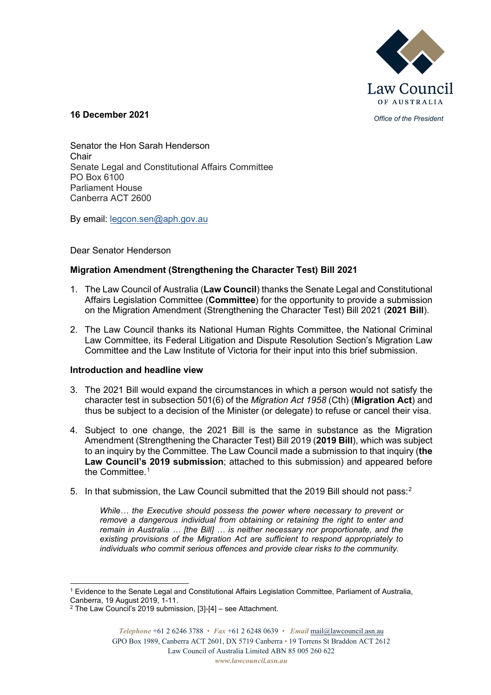

*Office of the President* **16 December 2021**

Senator the Hon Sarah Henderson Chair Senate Legal and Constitutional Affairs Committee PO Box 6100 Parliament House Canberra ACT 2600

By email: [legcon.sen@aph.gov.au](mailto:legcon.sen@aph.gov.au)

Dear Senator Henderson

# **Migration Amendment (Strengthening the Character Test) Bill 2021**

- 1. The Law Council of Australia (**Law Council**) thanks the Senate Legal and Constitutional Affairs Legislation Committee (**Committee**) for the opportunity to provide a submission on the Migration Amendment (Strengthening the Character Test) Bill 2021 (**2021 Bill**).
- 2. The Law Council thanks its National Human Rights Committee, the National Criminal Law Committee, its Federal Litigation and Dispute Resolution Section's Migration Law Committee and the Law Institute of Victoria for their input into this brief submission.

## **Introduction and headline view**

- 3. The 2021 Bill would expand the circumstances in which a person would not satisfy the character test in subsection 501(6) of the *Migration Act 1958* (Cth) (**Migration Act**) and thus be subject to a decision of the Minister (or delegate) to refuse or cancel their visa.
- 4. Subject to one change, the 2021 Bill is the same in substance as the Migration Amendment (Strengthening the Character Test) Bill 2019 (**2019 Bill**), which was subject to an inquiry by the Committee. The Law Council made a submission to that inquiry (**the Law Council's 2019 submission**; attached to this submission) and appeared before the Committee.<sup>[1](#page-0-0)</sup>
- 5. In that submission, the Law Council submitted that the [2](#page-0-1)019 Bill should not pass:<sup>2</sup>

*While… the Executive should possess the power where necessary to prevent or remove a dangerous individual from obtaining or retaining the right to enter and remain in Australia … [the Bill] … is neither necessary nor proportionate, and the existing provisions of the Migration Act are sufficient to respond appropriately to individuals who commit serious offences and provide clear risks to the community.* 

<span id="page-0-0"></span><sup>&</sup>lt;sup>1</sup> Evidence to the Senate Legal and Constitutional Affairs Legislation Committee, Parliament of Australia, Canberra, 19 August 2019, 1-11.

<span id="page-0-1"></span> $2$  The Law Council's 2019 submission, [3]-[4] – see Attachment.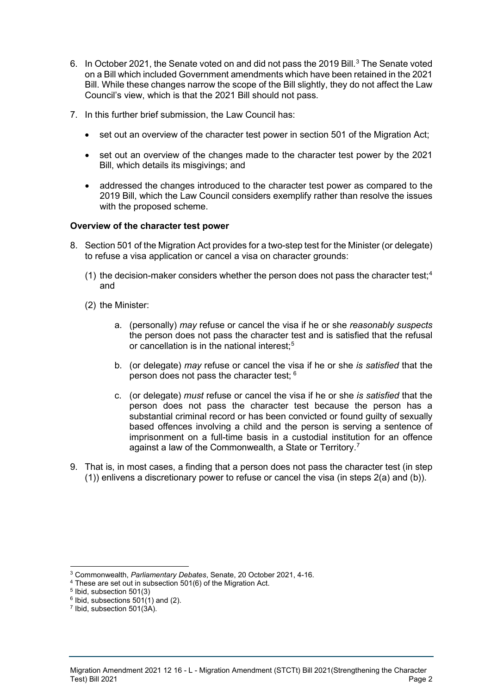- 6. In October 2021, the Senate voted on and did not pass the 2019 Bill.<sup>[3](#page-1-0)</sup> The Senate voted on a Bill which included Government amendments which have been retained in the 2021 Bill. While these changes narrow the scope of the Bill slightly, they do not affect the Law Council's view, which is that the 2021 Bill should not pass.
- 7. In this further brief submission, the Law Council has:
	- set out an overview of the character test power in section 501 of the Migration Act;
	- set out an overview of the changes made to the character test power by the 2021 Bill, which details its misgivings; and
	- addressed the changes introduced to the character test power as compared to the 2019 Bill, which the Law Council considers exemplify rather than resolve the issues with the proposed scheme.

## **Overview of the character test power**

- 8. Section 501 of the Migration Act provides for a two-step test for the Minister (or delegate) to refuse a visa application or cancel a visa on character grounds:
	- (1) the decision-maker considers whether the person does not pass the character test;<sup>[4](#page-1-1)</sup> and
	- (2) the Minister:
		- a. (personally) *may* refuse or cancel the visa if he or she *reasonably suspects* the person does not pass the character test and is satisfied that the refusal or cancellation is in the national interest:<sup>[5](#page-1-2)</sup>
		- b. (or delegate) *may* refuse or cancel the visa if he or she *is satisfied* that the person does not pass the character test; [6](#page-1-3)
		- c. (or delegate) *must* refuse or cancel the visa if he or she *is satisfied* that the person does not pass the character test because the person has a substantial criminal record or has been convicted or found guilty of sexually based offences involving a child and the person is serving a sentence of imprisonment on a full-time basis in a custodial institution for an offence against a law of the Commonwealth, a State or Territory.<sup>[7](#page-1-4)</sup>
- 9. That is, in most cases, a finding that a person does not pass the character test (in step (1)) enlivens a discretionary power to refuse or cancel the visa (in steps 2(a) and (b)).

<sup>3</sup> Commonwealth, *Parliamentary Debates*, Senate, 20 October 2021, 4-16.

<span id="page-1-1"></span><span id="page-1-0"></span><sup>4</sup> These are set out in subsection 501(6) of the Migration Act.

<span id="page-1-2"></span><sup>5</sup> Ibid, subsection 501(3)

<span id="page-1-3"></span> $6$  Ibid, subsections  $501(1)$  and (2).

<span id="page-1-4"></span><sup>7</sup> Ibid, subsection 501(3A).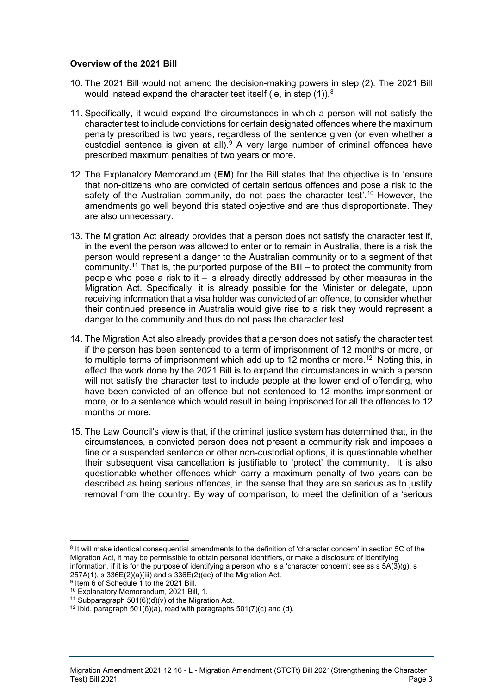## **Overview of the 2021 Bill**

- 10. The 2021 Bill would not amend the decision-making powers in step (2). The 2021 Bill would instead expand the character test itself (ie, in step (1)). $^8$  $^8$
- 11. Specifically, it would expand the circumstances in which a person will not satisfy the character test to include convictions for certain designated offences where the maximum penalty prescribed is two years, regardless of the sentence given (or even whether a custodial sentence is given at all).<sup>[9](#page-2-1)</sup> A very large number of criminal offences have prescribed maximum penalties of two years or more.
- 12. The Explanatory Memorandum (**EM**) for the Bill states that the objective is to 'ensure that non-citizens who are convicted of certain serious offences and pose a risk to the safety of the Australian community, do not pass the character test'.<sup>[10](#page-2-2)</sup> However, the amendments go well beyond this stated objective and are thus disproportionate. They are also unnecessary.
- 13. The Migration Act already provides that a person does not satisfy the character test if, in the event the person was allowed to enter or to remain in Australia, there is a risk the person would represent a danger to the Australian community or to a segment of that community. [11](#page-2-3) That is, the purported purpose of the Bill – to protect the community from people who pose a risk to it  $-$  is already directly addressed by other measures in the Migration Act. Specifically, it is already possible for the Minister or delegate, upon receiving information that a visa holder was convicted of an offence, to consider whether their continued presence in Australia would give rise to a risk they would represent a danger to the community and thus do not pass the character test.
- 14. The Migration Act also already provides that a person does not satisfy the character test if the person has been sentenced to a term of imprisonment of 12 months or more, or to multiple terms of imprisonment which add up to 12 months or more. [12](#page-2-4) Noting this, in effect the work done by the 2021 Bill is to expand the circumstances in which a person will not satisfy the character test to include people at the lower end of offending, who have been convicted of an offence but not sentenced to 12 months imprisonment or more, or to a sentence which would result in being imprisoned for all the offences to 12 months or more.
- 15. The Law Council's view is that, if the criminal justice system has determined that, in the circumstances, a convicted person does not present a community risk and imposes a fine or a suspended sentence or other non-custodial options, it is questionable whether their subsequent visa cancellation is justifiable to 'protect' the community. It is also questionable whether offences which carry a maximum penalty of two years can be described as being serious offences, in the sense that they are so serious as to justify removal from the country. By way of comparison, to meet the definition of a 'serious

<span id="page-2-0"></span><sup>8</sup> It will make identical consequential amendments to the definition of 'character concern' in section 5C of the Migration Act, it may be permissible to obtain personal identifiers, or make a disclosure of identifying information, if it is for the purpose of identifying a person who is a 'character concern': see ss s 5A(3)(g), s 257A(1), s 336E(2)(a)(iii) and s 336E(2)(ec) of the Migration Act.

<span id="page-2-1"></span><sup>&</sup>lt;sup>9</sup> Item 6 of Schedule 1 to the 2021 Bill.<br><sup>10</sup> Explanatory Memorandum, 2021 Bill, 1.

<span id="page-2-2"></span>

<span id="page-2-4"></span><span id="page-2-3"></span><sup>&</sup>lt;sup>11</sup> Subparagraph 501(6)(d)(v) of the Migration Act.<br><sup>12</sup> Ibid, paragraph 501(6)(a), read with paragraphs 501(7)(c) and (d).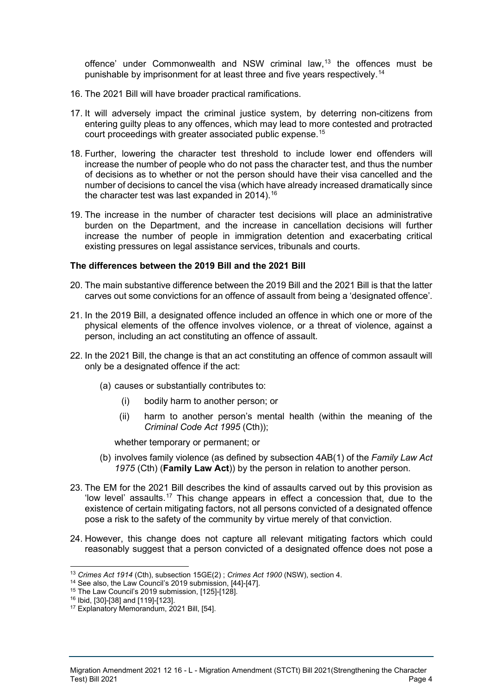offence' under Commonwealth and NSW criminal law, $13$  the offences must be punishable by imprisonment for at least three and five years respectively.<sup>[14](#page-3-1)</sup>

- 16. The 2021 Bill will have broader practical ramifications.
- 17. It will adversely impact the criminal justice system, by deterring non-citizens from entering guilty pleas to any offences, which may lead to more contested and protracted court proceedings with greater associated public expense. [15](#page-3-2)
- 18. Further, lowering the character test threshold to include lower end offenders will increase the number of people who do not pass the character test, and thus the number of decisions as to whether or not the person should have their visa cancelled and the number of decisions to cancel the visa (which have already increased dramatically since the character test was last expanded in 2014). [16](#page-3-3)
- 19. The increase in the number of character test decisions will place an administrative burden on the Department, and the increase in cancellation decisions will further increase the number of people in immigration detention and exacerbating critical existing pressures on legal assistance services, tribunals and courts.

#### **The differences between the 2019 Bill and the 2021 Bill**

- 20. The main substantive difference between the 2019 Bill and the 2021 Bill is that the latter carves out some convictions for an offence of assault from being a 'designated offence'.
- 21. In the 2019 Bill, a designated offence included an offence in which one or more of the physical elements of the offence involves violence, or a threat of violence, against a person, including an act constituting an offence of assault.
- 22. In the 2021 Bill, the change is that an act constituting an offence of common assault will only be a designated offence if the act:
	- (a) causes or substantially contributes to:
		- (i) bodily harm to another person; or
		- (ii) harm to another person's mental health (within the meaning of the *Criminal Code Act 1995* (Cth));

whether temporary or permanent; or

- (b) involves family violence (as defined by subsection 4AB(1) of the *Family Law Act 1975* (Cth) (**Family Law Act**)) by the person in relation to another person.
- 23. The EM for the 2021 Bill describes the kind of assaults carved out by this provision as 'low level' assaults.<sup>[17](#page-3-4)</sup> This change appears in effect a concession that, due to the existence of certain mitigating factors, not all persons convicted of a designated offence pose a risk to the safety of the community by virtue merely of that conviction.
- 24. However, this change does not capture all relevant mitigating factors which could reasonably suggest that a person convicted of a designated offence does not pose a

<span id="page-3-0"></span><sup>13</sup> *Crimes Act 1914* (Cth), subsection 15GE(2) ; *Crimes Act 1900* (NSW), section 4.

<span id="page-3-1"></span> $14$  See also, the Law Council's 2019 submission, [44]-[47].

<span id="page-3-2"></span><sup>15</sup> The Law Council's 2019 submission, [125]-[128].

<span id="page-3-3"></span><sup>16</sup> Ibid, [30]-[38] and [119]-[123].

<span id="page-3-4"></span><sup>17</sup> Explanatory Memorandum, 2021 Bill, [54].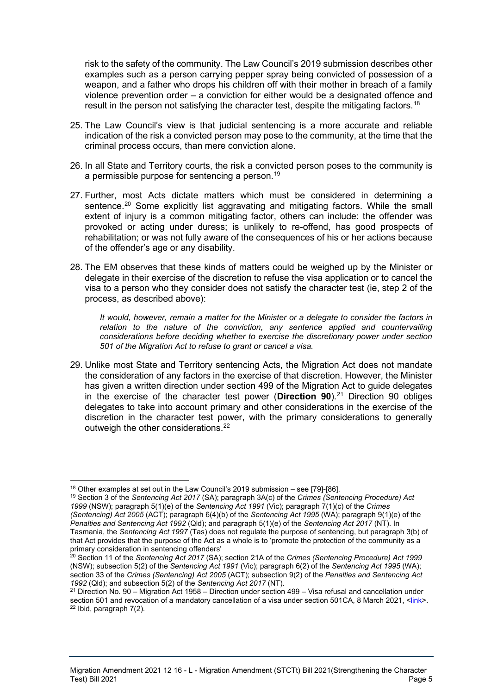risk to the safety of the community. The Law Council's 2019 submission describes other examples such as a person carrying pepper spray being convicted of possession of a weapon, and a father who drops his children off with their mother in breach of a family violence prevention order – a conviction for either would be a designated offence and result in the person not satisfying the character test, despite the mitigating factors.<sup>[18](#page-4-0)</sup>

- 25. The Law Council's view is that judicial sentencing is a more accurate and reliable indication of the risk a convicted person may pose to the community, at the time that the criminal process occurs, than mere conviction alone.
- 26. In all State and Territory courts, the risk a convicted person poses to the community is a permissible purpose for sentencing a person.<sup>[19](#page-4-1)</sup>
- 27. Further, most Acts dictate matters which must be considered in determining a sentence.<sup>[20](#page-4-2)</sup> Some explicitly list aggravating and mitigating factors. While the small extent of injury is a common mitigating factor, others can include: the offender was provoked or acting under duress; is unlikely to re-offend, has good prospects of rehabilitation; or was not fully aware of the consequences of his or her actions because of the offender's age or any disability.
- 28. The EM observes that these kinds of matters could be weighed up by the Minister or delegate in their exercise of the discretion to refuse the visa application or to cancel the visa to a person who they consider does not satisfy the character test (ie, step 2 of the process, as described above):

*It would, however, remain a matter for the Minister or a delegate to consider the factors in relation to the nature of the conviction, any sentence applied and countervailing considerations before deciding whether to exercise the discretionary power under section 501 of the Migration Act to refuse to grant or cancel a visa.*

29. Unlike most State and Territory sentencing Acts, the Migration Act does not mandate the consideration of any factors in the exercise of that discretion. However, the Minister has given a written direction under section 499 of the Migration Act to guide delegates in the exercise of the character test power (**Direction 90**).[21](#page-4-3) Direction 90 obliges delegates to take into account primary and other considerations in the exercise of the discretion in the character test power, with the primary considerations to generally outweigh the other considerations.<sup>[22](#page-4-4)</sup>

Migration Amendment 2021 12 16 - L - Migration Amendment (STCTt) Bill 2021(Strengthening the Character Test) Bill 2021 Page 5

 $18$  Other examples at set out in the Law Council's 2019 submission – see [79]-[86].

<span id="page-4-1"></span><span id="page-4-0"></span><sup>19</sup> Section 3 of the *Sentencing Act 2017* (SA); paragraph 3A(c) of the *Crimes (Sentencing Procedure) Act 1999* (NSW); paragraph 5(1)(e) of the *Sentencing Act 1991* (Vic); paragraph 7(1)(c) of the *Crimes (Sentencing) Act 2005* (ACT); paragraph 6(4)(b) of the *Sentencing Act 1995* (WA); paragraph 9(1)(e) of the *Penalties and Sentencing Act 1992* (Qld); and paragraph 5(1)(e) of the *Sentencing Act 2017* (NT). In Tasmania, the *Sentencing Act 1997* (Tas) does not regulate the purpose of sentencing, but paragraph 3(b) of that Act provides that the purpose of the Act as a whole is to 'promote the protection of the community as a primary consideration in sentencing offenders'

<span id="page-4-2"></span><sup>20</sup> Section 11 of the *Sentencing Act 2017* (SA); section 21A of the *Crimes (Sentencing Procedure) Act 1999*  (NSW); subsection 5(2) of the *Sentencing Act 1991* (Vic); paragraph 6(2) of the *Sentencing Act 1995* (WA); section 33 of the *Crimes (Sentencing) Act 2005* (ACT); subsection 9(2) of the *Penalties and Sentencing Act 1992* (Qld); and subsection 5(2) of the *Sentencing Act 2017* (NT).

<span id="page-4-4"></span><span id="page-4-3"></span> $21$  Direction No. 90 – Migration Act 1958 – Direction under section 499 – Visa refusal and cancellation under section 501 and revocation of a mandatory cancellation of a visa under section 501CA, 8 March 2021, [<link>](https://immi.homeaffairs.gov.au/support-subsite/files/ministerial-direction-no-90.pdf). <sup>22</sup> Ibid, paragraph 7(2).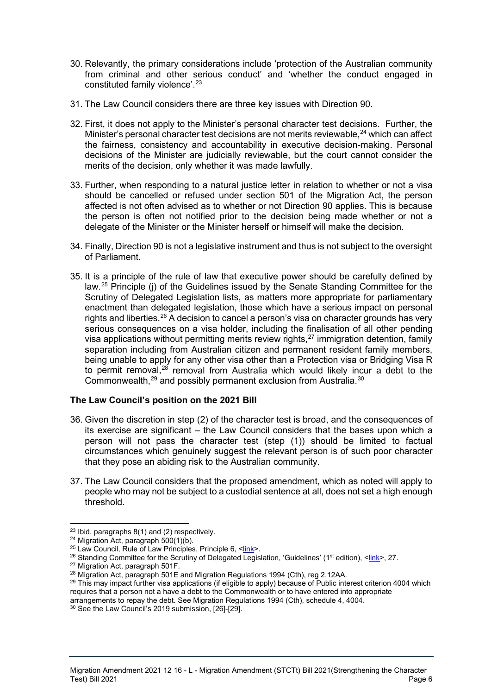- 30. Relevantly, the primary considerations include 'protection of the Australian community from criminal and other serious conduct' and 'whether the conduct engaged in constituted family violence'.[23](#page-5-0)
- 31. The Law Council considers there are three key issues with Direction 90.
- 32. First, it does not apply to the Minister's personal character test decisions. Further, the Minister's personal character test decisions are not merits reviewable, <sup>[24](#page-5-1)</sup> which can affect the fairness, consistency and accountability in executive decision-making. Personal decisions of the Minister are judicially reviewable, but the court cannot consider the merits of the decision, only whether it was made lawfully.
- 33. Further, when responding to a natural justice letter in relation to whether or not a visa should be cancelled or refused under section 501 of the Migration Act, the person affected is not often advised as to whether or not Direction 90 applies. This is because the person is often not notified prior to the decision being made whether or not a delegate of the Minister or the Minister herself or himself will make the decision.
- 34. Finally, Direction 90 is not a legislative instrument and thus is not subject to the oversight of Parliament.
- 35. It is a principle of the rule of law that executive power should be carefully defined by law.[25](#page-5-2) Principle (j) of the Guidelines issued by the Senate Standing Committee for the Scrutiny of Delegated Legislation lists, as matters more appropriate for parliamentary enactment than delegated legislation, those which have a serious impact on personal rights and liberties.<sup>[26](#page-5-3)</sup> A decision to cancel a person's visa on character grounds has very serious consequences on a visa holder, including the finalisation of all other pending visa applications without permitting merits review rights,  $27$  immigration detention, family separation including from Australian citizen and permanent resident family members, being unable to apply for any other visa other than a Protection visa or Bridging Visa R to permit removal,<sup>[28](#page-5-5)</sup> removal from Australia which would likely incur a debt to the Commonwealth, $^{29}$  $^{29}$  $^{29}$  and possibly permanent exclusion from Australia. $^\mathrm{30}$  $^\mathrm{30}$  $^\mathrm{30}$

## **The Law Council's position on the 2021 Bill**

- 36. Given the discretion in step (2) of the character test is broad, and the consequences of its exercise are significant – the Law Council considers that the bases upon which a person will not pass the character test (step (1)) should be limited to factual circumstances which genuinely suggest the relevant person is of such poor character that they pose an abiding risk to the Australian community.
- 37. The Law Council considers that the proposed amendment, which as noted will apply to people who may not be subject to a custodial sentence at all, does not set a high enough threshold.

<span id="page-5-1"></span><span id="page-5-0"></span><sup>&</sup>lt;sup>23</sup> Ibid, paragraphs 8(1) and (2) respectively.<br><sup>24</sup> Migration Act, paragraph 500(1)(b).<br><sup>25</sup> Law Council, Rule of Law Principles, Principle 6, [<link>](https://www.lawcouncil.asn.au/publicassets/046c7bd7-e1d6-e611-80d2-005056be66b1/1103-Policy-Statement-Rule-of-Law-Principles.pdf).

<span id="page-5-3"></span><span id="page-5-2"></span><sup>&</sup>lt;sup>26</sup> Standing Committee for the Scrutiny of Delegated Legislation, 'Guidelines' (1<sup>st</sup> edition), <<u>link</u>>, 27. <sup>27</sup> Migration Act, paragraph 501F.

<span id="page-5-5"></span><span id="page-5-4"></span><sup>&</sup>lt;sup>28</sup> Migration Act, paragraph 501E and Migration Regulations 1994 (Cth), reg 2.12AA.

<span id="page-5-6"></span><sup>&</sup>lt;sup>29</sup> This may impact further visa applications (if eligible to apply) because of Public interest criterion 4004 which requires that a person not a have a debt to the Commonwealth or to have entered into appropriate

<span id="page-5-7"></span>arrangements to repay the debt. See Migration Regulations 1994 (Cth), schedule 4, 4004. 30 See the Law Council's 2019 submission, [26]-[29].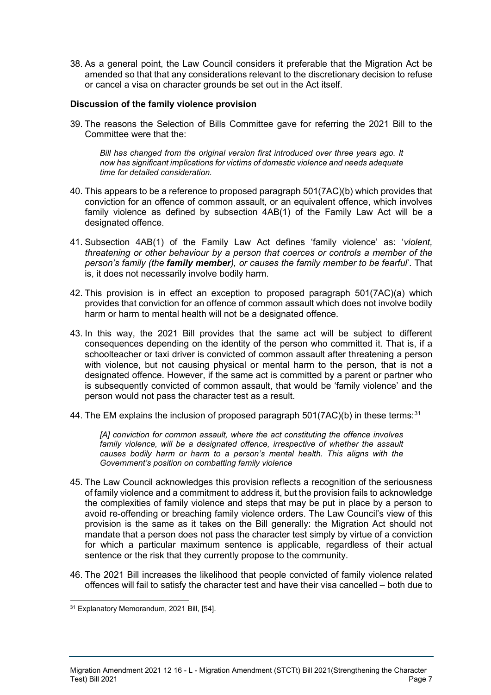38. As a general point, the Law Council considers it preferable that the Migration Act be amended so that that any considerations relevant to the discretionary decision to refuse or cancel a visa on character grounds be set out in the Act itself.

## **Discussion of the family violence provision**

39. The reasons the Selection of Bills Committee gave for referring the 2021 Bill to the Committee were that the:

*Bill has changed from the original version first introduced over three years ago. It now has significant implications for victims of domestic violence and needs adequate time for detailed consideration.* 

- 40. This appears to be a reference to proposed paragraph 501(7AC)(b) which provides that conviction for an offence of common assault, or an equivalent offence, which involves family violence as defined by subsection 4AB(1) of the Family Law Act will be a designated offence.
- 41. Subsection 4AB(1) of the Family Law Act defines 'family violence' as: '*violent, threatening or other behaviour by a person that coerces or controls a member of the person's family (the family member), or causes the family member to be fearful*'. That is, it does not necessarily involve bodily harm.
- 42. This provision is in effect an exception to proposed paragraph 501(7AC)(a) which provides that conviction for an offence of common assault which does not involve bodily harm or harm to mental health will not be a designated offence.
- 43. In this way, the 2021 Bill provides that the same act will be subject to different consequences depending on the identity of the person who committed it. That is, if a schoolteacher or taxi driver is convicted of common assault after threatening a person with violence, but not causing physical or mental harm to the person, that is not a designated offence. However, if the same act is committed by a parent or partner who is subsequently convicted of common assault, that would be 'family violence' and the person would not pass the character test as a result.
- 44. The EM explains the inclusion of proposed paragraph  $501(7AC)(b)$  in these terms:<sup>[31](#page-6-0)</sup>

*[A] conviction for common assault, where the act constituting the offence involves family violence, will be a designated offence, irrespective of whether the assault causes bodily harm or harm to a person's mental health. This aligns with the Government's position on combatting family violence*

- 45. The Law Council acknowledges this provision reflects a recognition of the seriousness of family violence and a commitment to address it, but the provision fails to acknowledge the complexities of family violence and steps that may be put in place by a person to avoid re-offending or breaching family violence orders. The Law Council's view of this provision is the same as it takes on the Bill generally: the Migration Act should not mandate that a person does not pass the character test simply by virtue of a conviction for which a particular maximum sentence is applicable, regardless of their actual sentence or the risk that they currently propose to the community.
- 46. The 2021 Bill increases the likelihood that people convicted of family violence related offences will fail to satisfy the character test and have their visa cancelled – both due to

<span id="page-6-0"></span><sup>31</sup> Explanatory Memorandum, 2021 Bill, [54].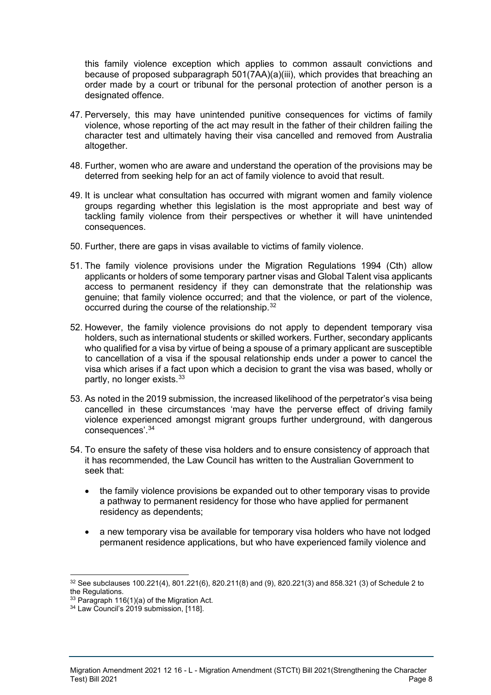this family violence exception which applies to common assault convictions and because of proposed subparagraph 501(7AA)(a)(iii), which provides that breaching an order made by a court or tribunal for the personal protection of another person is a designated offence.

- 47. Perversely, this may have unintended punitive consequences for victims of family violence, whose reporting of the act may result in the father of their children failing the character test and ultimately having their visa cancelled and removed from Australia altogether.
- 48. Further, women who are aware and understand the operation of the provisions may be deterred from seeking help for an act of family violence to avoid that result.
- 49. It is unclear what consultation has occurred with migrant women and family violence groups regarding whether this legislation is the most appropriate and best way of tackling family violence from their perspectives or whether it will have unintended consequences.
- 50. Further, there are gaps in visas available to victims of family violence.
- 51. The family violence provisions under the Migration Regulations 1994 (Cth) allow applicants or holders of some temporary partner visas and Global Talent visa applicants access to permanent residency if they can demonstrate that the relationship was genuine; that family violence occurred; and that the violence, or part of the violence, occurred during the course of the relationship.<sup>[32](#page-7-0)</sup>
- 52. However, the family violence provisions do not apply to dependent temporary visa holders, such as international students or skilled workers. Further, secondary applicants who qualified for a visa by virtue of being a spouse of a primary applicant are susceptible to cancellation of a visa if the spousal relationship ends under a power to cancel the visa which arises if a fact upon which a decision to grant the visa was based, wholly or partly, no longer exists.<sup>[33](#page-7-1)</sup>
- 53. As noted in the 2019 submission, the increased likelihood of the perpetrator's visa being cancelled in these circumstances 'may have the perverse effect of driving family violence experienced amongst migrant groups further underground, with dangerous consequences'. [34](#page-7-2)
- 54. To ensure the safety of these visa holders and to ensure consistency of approach that it has recommended, the Law Council has written to the Australian Government to seek that:
	- the family violence provisions be expanded out to other temporary visas to provide a pathway to permanent residency for those who have applied for permanent residency as dependents;
	- a new temporary visa be available for temporary visa holders who have not lodged permanent residence applications, but who have experienced family violence and

<span id="page-7-0"></span> $32$  See subclauses 100.221(4), 801.221(6), 820.211(8) and (9), 820.221(3) and 858.321 (3) of Schedule 2 to the Regulations.

<span id="page-7-2"></span><span id="page-7-1"></span><sup>&</sup>lt;sup>33</sup> Paragraph 116(1)(a) of the Migration Act.<br><sup>34</sup> Law Council's 2019 submission, [118].